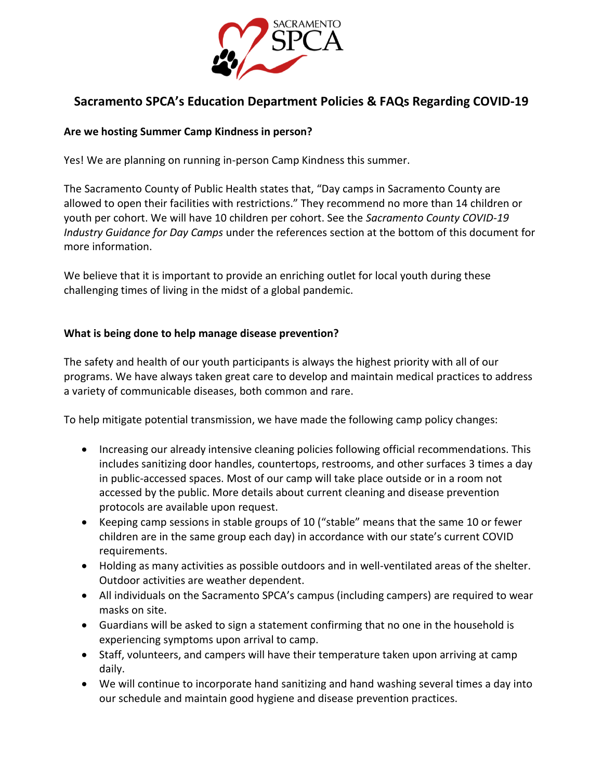

# **Sacramento SPCA's Education Department Policies & FAQs Regarding COVID-19**

## **Are we hosting Summer Camp Kindness in person?**

Yes! We are planning on running in-person Camp Kindness this summer.

The Sacramento County of Public Health states that, "Day camps in Sacramento County are allowed to open their facilities with restrictions." They recommend no more than 14 children or youth per cohort. We will have 10 children per cohort. See the *Sacramento County COVID-19 Industry Guidance for Day Camps* under the references section at the bottom of this document for more information.

We believe that it is important to provide an enriching outlet for local youth during these challenging times of living in the midst of a global pandemic.

## **What is being done to help manage disease prevention?**

The safety and health of our youth participants is always the highest priority with all of our programs. We have always taken great care to develop and maintain medical practices to address a variety of communicable diseases, both common and rare.

To help mitigate potential transmission, we have made the following camp policy changes:

- Increasing our already intensive cleaning policies following official recommendations. This includes sanitizing door handles, countertops, restrooms, and other surfaces 3 times a day in public-accessed spaces. Most of our camp will take place outside or in a room not accessed by the public. More details about current cleaning and disease prevention protocols are available upon request.
- Keeping camp sessions in stable groups of 10 ("stable" means that the same 10 or fewer children are in the same group each day) in accordance with our state's current COVID requirements.
- Holding as many activities as possible outdoors and in well-ventilated areas of the shelter. Outdoor activities are weather dependent.
- All individuals on the Sacramento SPCA's campus (including campers) are required to wear masks on site.
- Guardians will be asked to sign a statement confirming that no one in the household is experiencing symptoms upon arrival to camp.
- Staff, volunteers, and campers will have their temperature taken upon arriving at camp daily.
- We will continue to incorporate hand sanitizing and hand washing several times a day into our schedule and maintain good hygiene and disease prevention practices.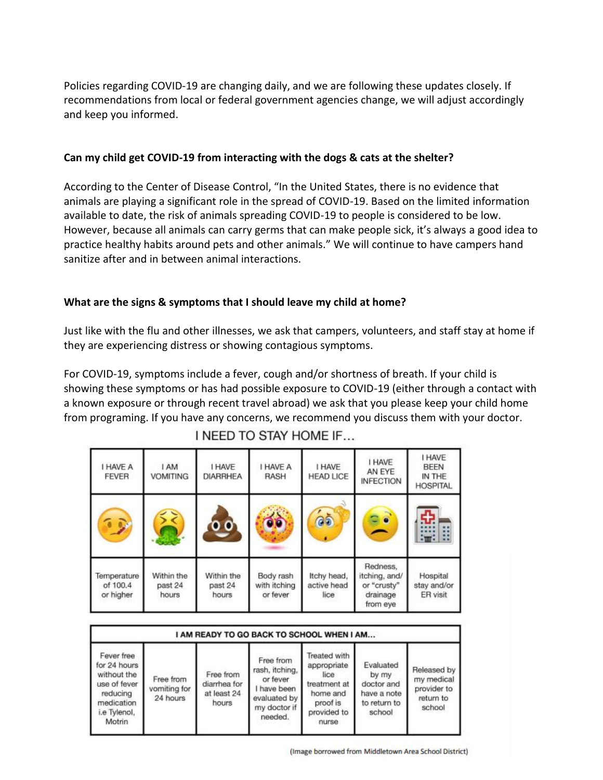Policies regarding COVID-19 are changing daily, and we are following these updates closely. If recommendations from local or federal government agencies change, we will adjust accordingly and keep you informed.

## **Can my child get COVID-19 from interacting with the dogs & cats at the shelter?**

According to the Center of Disease Control, "In the United States, there is no evidence that animals are playing a significant role in the spread of COVID-19. Based on the limited information available to date, the risk of animals spreading COVID-19 to people is considered to be low. However, because all animals can carry germs that can make people sick, it's always a good idea to practice healthy habits around pets and other animals." We will continue to have campers hand sanitize after and in between animal interactions.

## **What are the signs & symptoms that I should leave my child at home?**

Just like with the flu and other illnesses, we ask that campers, volunteers, and staff stay at home if they are experiencing distress or showing contagious symptoms.

For COVID-19, symptoms include a fever, cough and/or shortness of breath. If your child is showing these symptoms or has had possible exposure to COVID-19 (either through a contact with a known exposure or through recent travel abroad) we ask that you please keep your child home from programing. If you have any concerns, we recommend you discuss them with your doctor.

| I HAVE A<br><b>FEVER</b>             | <b>I AM</b><br><b>VOMITING</b> | <b>I HAVE</b><br><b>DIARRHEA</b> | I HAVE A<br><b>RASH</b>               | I HAVE<br><b>HEAD LICE</b>         | I HAVE<br>AN EYE<br><b>INFECTION</b>                             | <b>I HAVE</b><br><b>BEEN</b><br>IN THE<br><b>HOSPITAL</b> |
|--------------------------------------|--------------------------------|----------------------------------|---------------------------------------|------------------------------------|------------------------------------------------------------------|-----------------------------------------------------------|
| $\mathbb{Z}$                         |                                | $\overline{\mathbf{0}}$ of       | ล์ธั                                  | $\delta$                           | $\bullet$<br>Ξ.                                                  | ÷<br>B<br>$\mathbb{Z}$                                    |
| Temperature<br>of 100.4<br>or higher | Within the<br>past 24<br>hours | Within the<br>past 24<br>hours   | Body rash<br>with itching<br>or fever | Itchy head,<br>active head<br>lice | Redness,<br>itching, and/<br>or "crusty"<br>drainage<br>from eye | Hospital<br>stay and/or<br>ER visit                       |

I NEED TO STAY HOME IF...

| I AM READY TO GO BACK TO SCHOOL WHEN I AM                                                                     |                                       |                                                   |                                                                                                   |                                                                                                     |                                                                           |                                                                 |  |  |  |
|---------------------------------------------------------------------------------------------------------------|---------------------------------------|---------------------------------------------------|---------------------------------------------------------------------------------------------------|-----------------------------------------------------------------------------------------------------|---------------------------------------------------------------------------|-----------------------------------------------------------------|--|--|--|
| Fever free<br>for 24 hours<br>without the<br>use of fever<br>reducing<br>medication<br>i.e Tylenol,<br>Motrin | Free from<br>vomiting for<br>24 hours | Free from<br>diarrhea for<br>at least 24<br>hours | Free from<br>rash, itching,<br>or fever<br>I have been<br>evaluated by<br>my doctor if<br>needed. | Treated with<br>appropriate<br>lice<br>treatment at<br>home and<br>proof is<br>provided to<br>nurse | Evaluated<br>by my<br>doctor and<br>have a note<br>to return to<br>school | Released by<br>my medical<br>provider to<br>return to<br>school |  |  |  |

(Image borrowed from Middletown Area School District)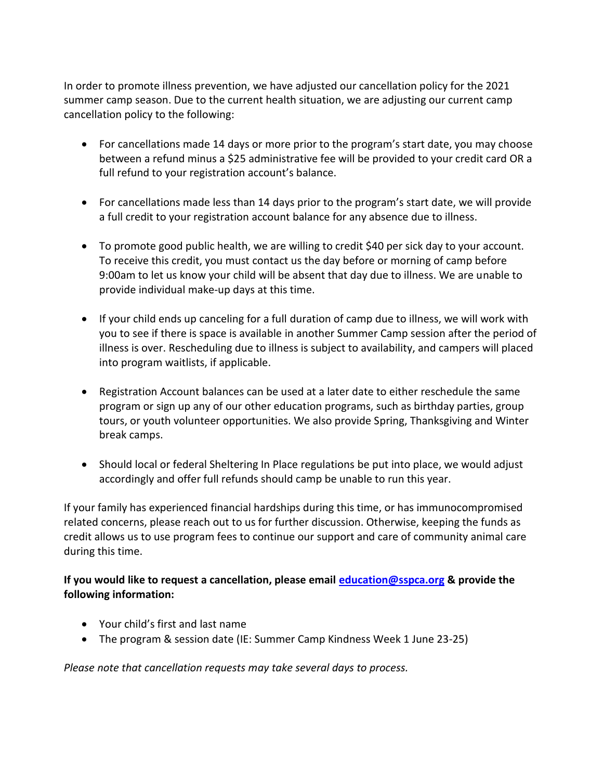In order to promote illness prevention, we have adjusted our cancellation policy for the 2021 summer camp season. Due to the current health situation, we are adjusting our current camp cancellation policy to the following:

- For cancellations made 14 days or more prior to the program's start date, you may choose between a refund minus a \$25 administrative fee will be provided to your credit card OR a full refund to your registration account's balance.
- For cancellations made less than 14 days prior to the program's start date, we will provide a full credit to your registration account balance for any absence due to illness.
- To promote good public health, we are willing to credit \$40 per sick day to your account. To receive this credit, you must contact us the day before or morning of camp before 9:00am to let us know your child will be absent that day due to illness. We are unable to provide individual make-up days at this time.
- If your child ends up canceling for a full duration of camp due to illness, we will work with you to see if there is space is available in another Summer Camp session after the period of illness is over. Rescheduling due to illness is subject to availability, and campers will placed into program waitlists, if applicable.
- Registration Account balances can be used at a later date to either reschedule the same program or sign up any of our other education programs, such as birthday parties, group tours, or youth volunteer opportunities. We also provide Spring, Thanksgiving and Winter break camps.
- Should local or federal Sheltering In Place regulations be put into place, we would adjust accordingly and offer full refunds should camp be unable to run this year.

If your family has experienced financial hardships during this time, or has immunocompromised related concerns, please reach out to us for further discussion. Otherwise, keeping the funds as credit allows us to use program fees to continue our support and care of community animal care during this time.

**If you would like to request a cancellation, please email [education@sspca.org](mailto:education@sspca.org) & provide the following information:** 

- Your child's first and last name
- The program & session date (IE: Summer Camp Kindness Week 1 June 23-25)

*Please note that cancellation requests may take several days to process.*